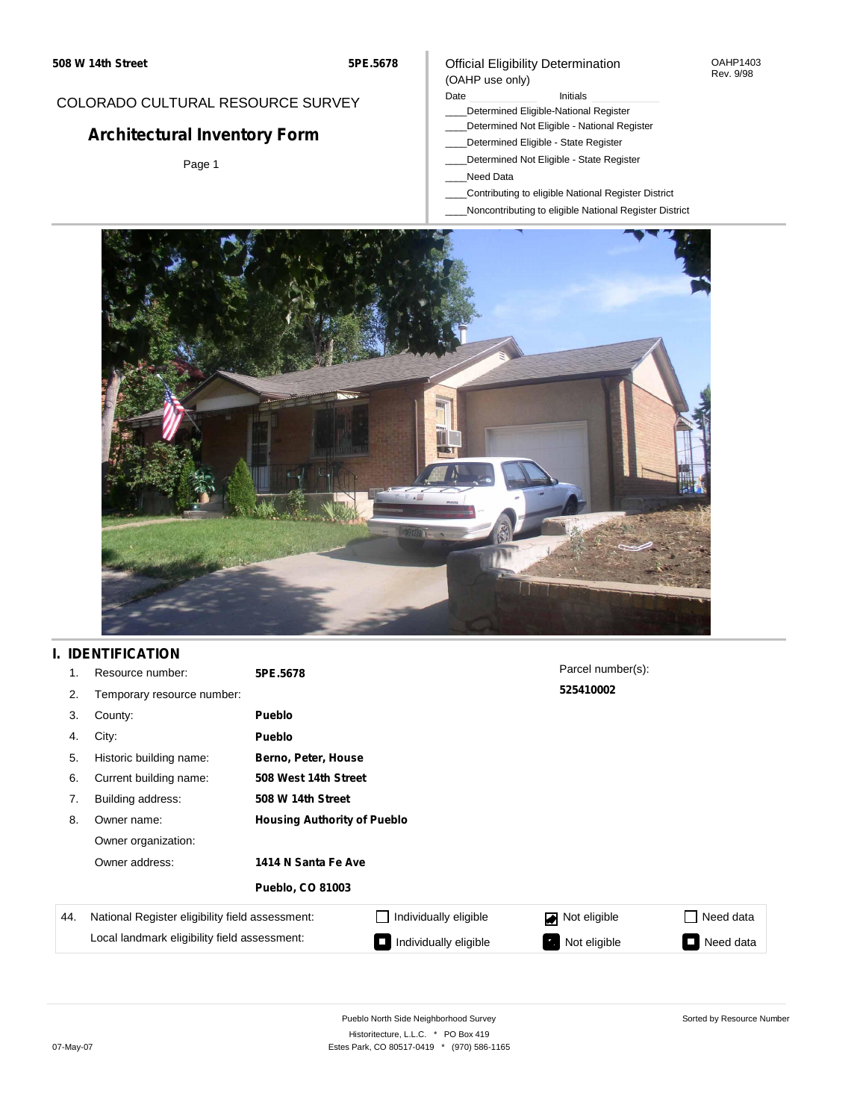### COLORADO CULTURAL RESOURCE SURVEY

# **Architectural Inventory Form**

Page 1

#### Official Eligibility Determination (OAHP use only)

#### Date **Initials** Initials

- \_\_\_\_Determined Eligible-National Register
- \_\_\_\_Determined Not Eligible National Register
- \_\_\_\_Determined Eligible State Register
- \_\_\_\_Determined Not Eligible State Register
- \_\_\_\_Need Data
- \_\_\_\_Contributing to eligible National Register District
- \_\_\_\_Noncontributing to eligible National Register District



### **I. IDENTIFICATION**

| 1.  | Resource number:                                | 5PE.5678                           |                       | Parcel number(s): |           |  |  |  |
|-----|-------------------------------------------------|------------------------------------|-----------------------|-------------------|-----------|--|--|--|
| 2.  | Temporary resource number:                      |                                    |                       | 525410002         |           |  |  |  |
| 3.  | County:                                         | <b>Pueblo</b>                      |                       |                   |           |  |  |  |
| 4.  | City:                                           | <b>Pueblo</b>                      |                       |                   |           |  |  |  |
| 5.  | Historic building name:                         | Berno, Peter, House                |                       |                   |           |  |  |  |
| 6.  | Current building name:                          | 508 West 14th Street               |                       |                   |           |  |  |  |
| 7.  | Building address:                               | 508 W 14th Street                  |                       |                   |           |  |  |  |
| 8.  | Owner name:                                     | <b>Housing Authority of Pueblo</b> |                       |                   |           |  |  |  |
|     | Owner organization:                             |                                    |                       |                   |           |  |  |  |
|     | Owner address:                                  | 1414 N Santa Fe Ave                |                       |                   |           |  |  |  |
|     |                                                 | <b>Pueblo, CO 81003</b>            |                       |                   |           |  |  |  |
| 44. | National Register eligibility field assessment: |                                    | Individually eligible | Not eligible<br>◪ | Need data |  |  |  |
|     | Local landmark eligibility field assessment:    |                                    | Individually eligible | Not eligible      | Need data |  |  |  |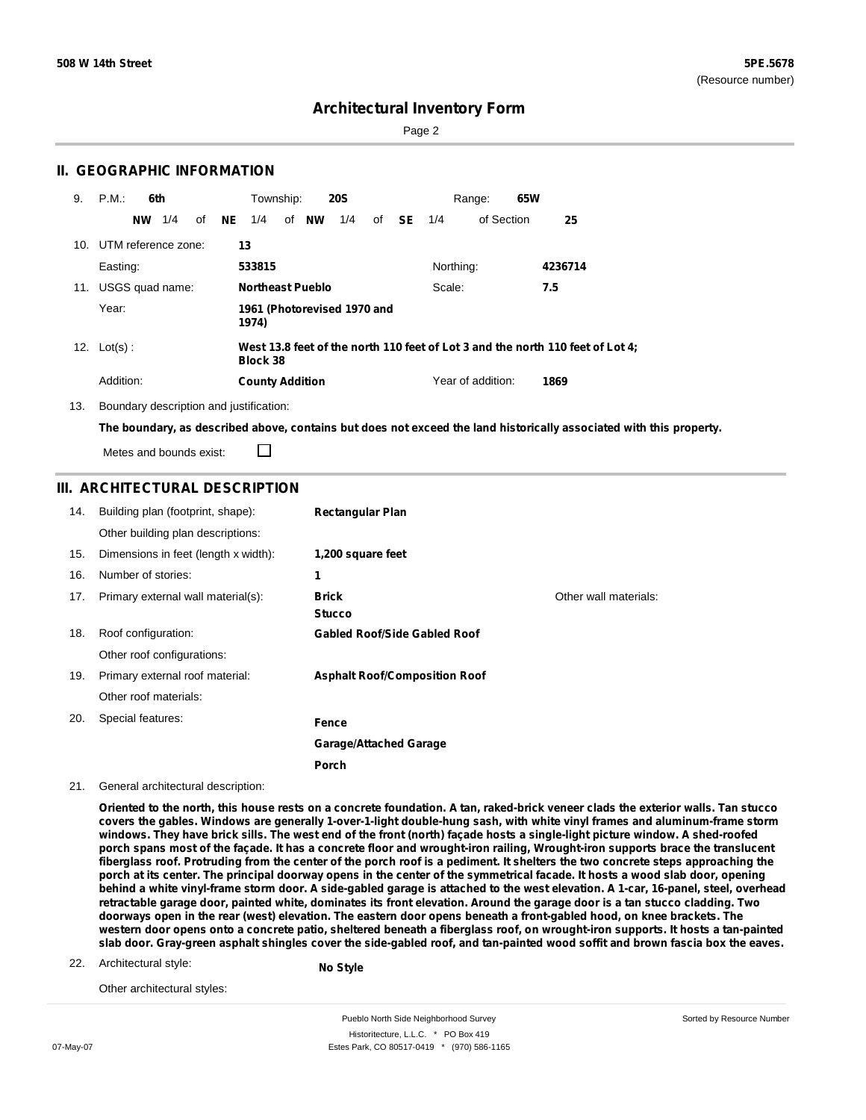Sorted by Resource Number

### **Architectural Inventory Form**

Page 2

#### **II. GEOGRAPHIC INFORMATION**

| 9.  | P.M.                    | 6th |     |    |                                                                                            | Township:               |    |    | <b>20S</b>                  |        |      |           | 65W<br>Range:     |         |  |
|-----|-------------------------|-----|-----|----|--------------------------------------------------------------------------------------------|-------------------------|----|----|-----------------------------|--------|------|-----------|-------------------|---------|--|
|     |                         | NW. | 1/4 | οf | <b>NE</b>                                                                                  | 1/4                     | of | NW | 1/4                         | of     | - SE | 1/4       | of Section        | 25      |  |
|     | 10. UTM reference zone: |     |     |    |                                                                                            | 13                      |    |    |                             |        |      |           |                   |         |  |
|     | Easting:                |     |     |    |                                                                                            | 533815                  |    |    |                             |        |      | Northing: |                   | 4236714 |  |
| 11. | USGS quad name:         |     |     |    |                                                                                            | <b>Northeast Pueblo</b> |    |    |                             | Scale: |      | 7.5       |                   |         |  |
|     | Year:                   |     |     |    |                                                                                            | 1974)                   |    |    | 1961 (Photorevised 1970 and |        |      |           |                   |         |  |
|     | 12. $Lot(s)$ :          |     |     |    | West 13.8 feet of the north 110 feet of Lot 3 and the north 110 feet of Lot 4;<br>Block 38 |                         |    |    |                             |        |      |           |                   |         |  |
|     | Addition:               |     |     |    |                                                                                            | <b>County Addition</b>  |    |    |                             |        |      |           | Year of addition: | 1869    |  |

13. Boundary description and justification:

□

The boundary, as described above, contains but does not exceed the land historically associated with this property.

Metes and bounds exist:

### **III. ARCHITECTURAL DESCRIPTION**

| 14. | Building plan (footprint, shape):    | <b>Rectangular Plan</b>              |                       |
|-----|--------------------------------------|--------------------------------------|-----------------------|
|     | Other building plan descriptions:    |                                      |                       |
| 15. | Dimensions in feet (length x width): | 1,200 square feet                    |                       |
| 16. | Number of stories:                   | 1                                    |                       |
| 17. | Primary external wall material(s):   | <b>Brick</b><br><b>Stucco</b>        | Other wall materials: |
| 18. | Roof configuration:                  | <b>Gabled Roof/Side Gabled Roof</b>  |                       |
|     | Other roof configurations:           |                                      |                       |
| 19. | Primary external roof material:      | <b>Asphalt Roof/Composition Roof</b> |                       |
|     | Other roof materials:                |                                      |                       |
| 20. | Special features:                    | Fence                                |                       |
|     |                                      | <b>Garage/Attached Garage</b>        |                       |
|     |                                      | Porch                                |                       |

21. General architectural description:

Oriented to the north, this house rests on a concrete foundation. A tan, raked-brick veneer clads the exterior walls. Tan stucco covers the gables. Windows are generally 1-over-1-light double-hung sash, with white vinyl frames and aluminum-frame storm windows. They have brick sills. The west end of the front (north) façade hosts a single-light picture window. A shed-roofed porch spans most of the façade. It has a concrete floor and wrought-iron railing, Wrought-iron supports brace the translucent fiberglass roof. Protruding from the center of the porch roof is a pediment. It shelters the two concrete steps approaching the porch at its center. The principal doorway opens in the center of the symmetrical facade. It hosts a wood slab door, opening behind a white vinyl-frame storm door. A side-gabled garage is attached to the west elevation. A 1-car, 16-panel, steel, overhead retractable garage door, painted white, dominates its front elevation. Around the garage door is a tan stucco cladding. Two doorways open in the rear (west) elevation. The eastern door opens beneath a front-gabled hood, on knee brackets. The western door opens onto a concrete patio, sheltered beneath a fiberglass roof, on wrought-iron supports. It hosts a tan-painted slab door. Gray-green asphalt shingles cover the side-gabled roof, and tan-painted wood soffit and brown fascia box the eaves.

22. Architectural style:

```
No Style
```
Other architectural styles:

Pueblo North Side Neighborhood Survey Historitecture, L.L.C. \* PO Box 419 07-May-07 **Estes Park, CO 80517-0419** \* (970) 586-1165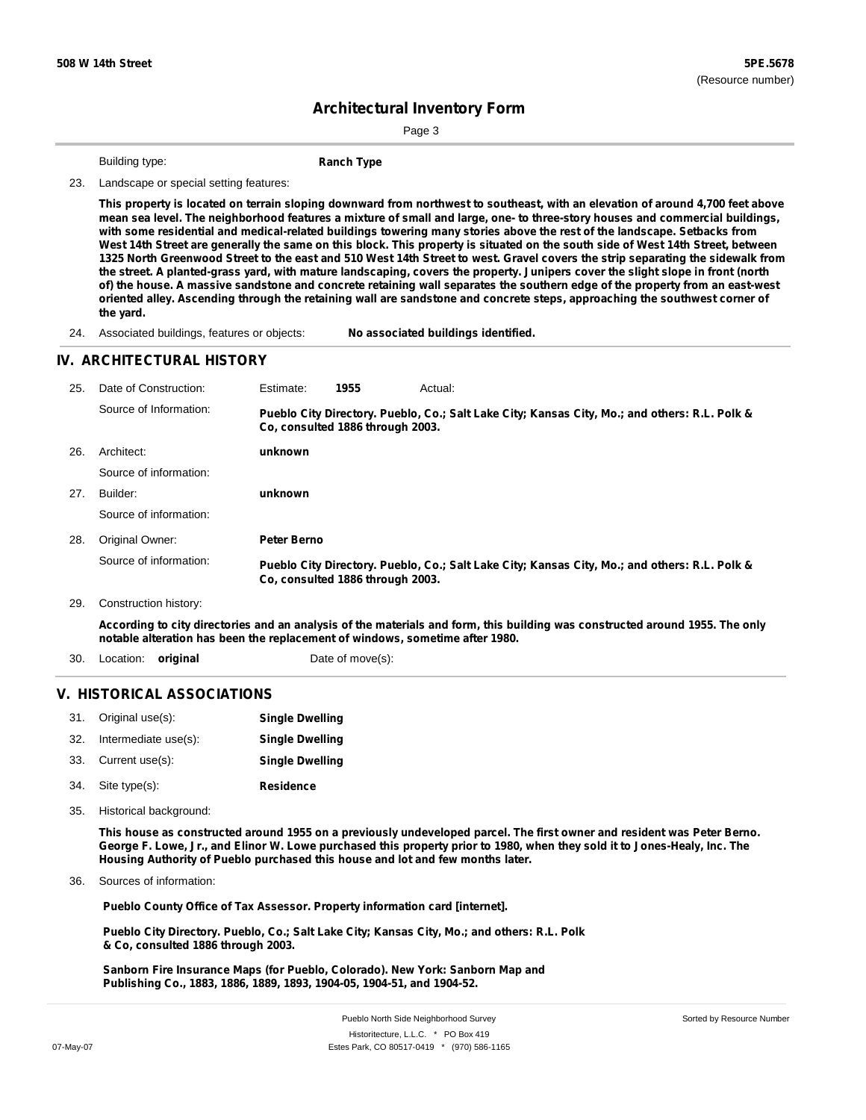Page 3

|     | Building type:                                                                                                                                                                                                                                                                                                                                                                                                                                                                                                                                                                                                                                                                                                                                                                                                                                                                                                                                                                                                                                                                | <b>Ranch Type</b>                                                                                                                                                                                            |  |  |  |  |  |
|-----|-------------------------------------------------------------------------------------------------------------------------------------------------------------------------------------------------------------------------------------------------------------------------------------------------------------------------------------------------------------------------------------------------------------------------------------------------------------------------------------------------------------------------------------------------------------------------------------------------------------------------------------------------------------------------------------------------------------------------------------------------------------------------------------------------------------------------------------------------------------------------------------------------------------------------------------------------------------------------------------------------------------------------------------------------------------------------------|--------------------------------------------------------------------------------------------------------------------------------------------------------------------------------------------------------------|--|--|--|--|--|
| 23. | Landscape or special setting features:                                                                                                                                                                                                                                                                                                                                                                                                                                                                                                                                                                                                                                                                                                                                                                                                                                                                                                                                                                                                                                        |                                                                                                                                                                                                              |  |  |  |  |  |
|     | This property is located on terrain sloping downward from northwest to southeast, with an elevation of around 4,700 feet above<br>mean sea level. The neighborhood features a mixture of small and large, one- to three-story houses and commercial buildings,<br>with some residential and medical-related buildings towering many stories above the rest of the landscape. Setbacks from<br>West 14th Street are generally the same on this block. This property is situated on the south side of West 14th Street, between<br>1325 North Greenwood Street to the east and 510 West 14th Street to west. Gravel covers the strip separating the sidewalk from<br>the street. A planted-grass yard, with mature landscaping, covers the property. Junipers cover the slight slope in front (north<br>of) the house. A massive sandstone and concrete retaining wall separates the southern edge of the property from an east-west<br>oriented alley. Ascending through the retaining wall are sandstone and concrete steps, approaching the southwest corner of<br>the yard. |                                                                                                                                                                                                              |  |  |  |  |  |
| 24. | Associated buildings, features or objects:                                                                                                                                                                                                                                                                                                                                                                                                                                                                                                                                                                                                                                                                                                                                                                                                                                                                                                                                                                                                                                    | No associated buildings identified.                                                                                                                                                                          |  |  |  |  |  |
|     | IV. ARCHITECTURAL HISTORY                                                                                                                                                                                                                                                                                                                                                                                                                                                                                                                                                                                                                                                                                                                                                                                                                                                                                                                                                                                                                                                     |                                                                                                                                                                                                              |  |  |  |  |  |
| 25. | Date of Construction:                                                                                                                                                                                                                                                                                                                                                                                                                                                                                                                                                                                                                                                                                                                                                                                                                                                                                                                                                                                                                                                         | Estimate:<br>1955<br>Actual:                                                                                                                                                                                 |  |  |  |  |  |
|     | Source of Information:                                                                                                                                                                                                                                                                                                                                                                                                                                                                                                                                                                                                                                                                                                                                                                                                                                                                                                                                                                                                                                                        | Pueblo City Directory. Pueblo, Co.; Salt Lake City; Kansas City, Mo.; and others: R.L. Polk &<br>Co, consulted 1886 through 2003.                                                                            |  |  |  |  |  |
| 26. | Architect:                                                                                                                                                                                                                                                                                                                                                                                                                                                                                                                                                                                                                                                                                                                                                                                                                                                                                                                                                                                                                                                                    | unknown                                                                                                                                                                                                      |  |  |  |  |  |
|     | Source of information:                                                                                                                                                                                                                                                                                                                                                                                                                                                                                                                                                                                                                                                                                                                                                                                                                                                                                                                                                                                                                                                        |                                                                                                                                                                                                              |  |  |  |  |  |
| 27. | Builder:                                                                                                                                                                                                                                                                                                                                                                                                                                                                                                                                                                                                                                                                                                                                                                                                                                                                                                                                                                                                                                                                      | unknown                                                                                                                                                                                                      |  |  |  |  |  |
|     | Source of information:                                                                                                                                                                                                                                                                                                                                                                                                                                                                                                                                                                                                                                                                                                                                                                                                                                                                                                                                                                                                                                                        |                                                                                                                                                                                                              |  |  |  |  |  |
| 28. | Original Owner:                                                                                                                                                                                                                                                                                                                                                                                                                                                                                                                                                                                                                                                                                                                                                                                                                                                                                                                                                                                                                                                               | <b>Peter Berno</b>                                                                                                                                                                                           |  |  |  |  |  |
|     | Source of information:                                                                                                                                                                                                                                                                                                                                                                                                                                                                                                                                                                                                                                                                                                                                                                                                                                                                                                                                                                                                                                                        | Pueblo City Directory. Pueblo, Co.; Salt Lake City; Kansas City, Mo.; and others: R.L. Polk &<br>Co. consulted 1886 through 2003.                                                                            |  |  |  |  |  |
| 29. | Construction history:                                                                                                                                                                                                                                                                                                                                                                                                                                                                                                                                                                                                                                                                                                                                                                                                                                                                                                                                                                                                                                                         |                                                                                                                                                                                                              |  |  |  |  |  |
|     |                                                                                                                                                                                                                                                                                                                                                                                                                                                                                                                                                                                                                                                                                                                                                                                                                                                                                                                                                                                                                                                                               | According to city directories and an analysis of the materials and form, this building was constructed around 1955. The only<br>notable alteration has been the replacement of windows, sometime after 1980. |  |  |  |  |  |
| 30. | Location: <b>original</b>                                                                                                                                                                                                                                                                                                                                                                                                                                                                                                                                                                                                                                                                                                                                                                                                                                                                                                                                                                                                                                                     | Date of move(s):                                                                                                                                                                                             |  |  |  |  |  |

### **V. HISTORICAL ASSOCIATIONS**

|     | 31. Original use(s): | <b>Single Dwelling</b> |
|-----|----------------------|------------------------|
| 32. | Intermediate use(s): | <b>Single Dwelling</b> |
|     | 33. Current use(s):  | <b>Single Dwelling</b> |
| 34. | Site type(s):        | <b>Residence</b>       |

35. Historical background:

This house as constructed around 1955 on a previously undeveloped parcel. The first owner and resident was Peter Berno. George F. Lowe, Jr., and Elinor W. Lowe purchased this property prior to 1980, when they sold it to Jones-Healy, Inc. The **Housing Authority of Pueblo purchased this house and lot and few months later.**

Sources of information: 36.

**Pueblo County Office of Tax Assessor. Property information card [internet].**

**Pueblo City Directory. Pueblo, Co.; Salt Lake City; Kansas City, Mo.; and others: R.L. Polk & Co, consulted 1886 through 2003.**

**Sanborn Fire Insurance Maps (for Pueblo, Colorado). New York: Sanborn Map and Publishing Co., 1883, 1886, 1889, 1893, 1904-05, 1904-51, and 1904-52.**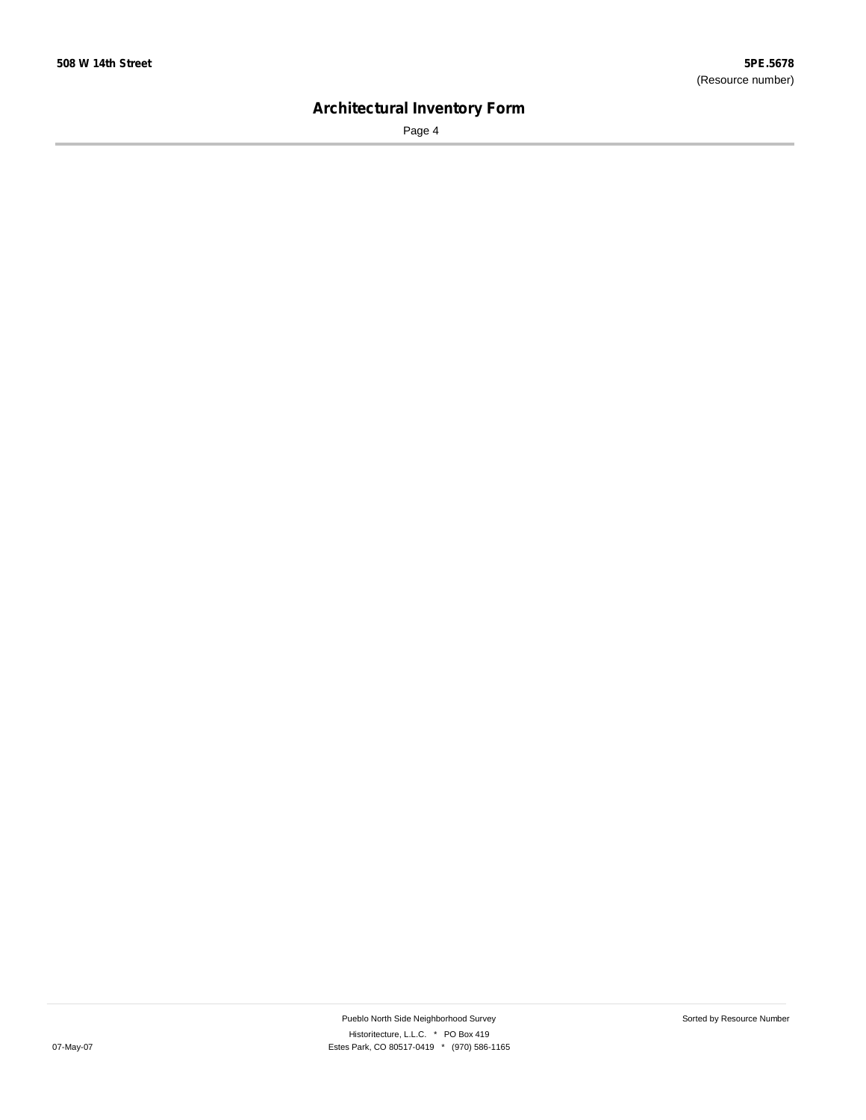Page 4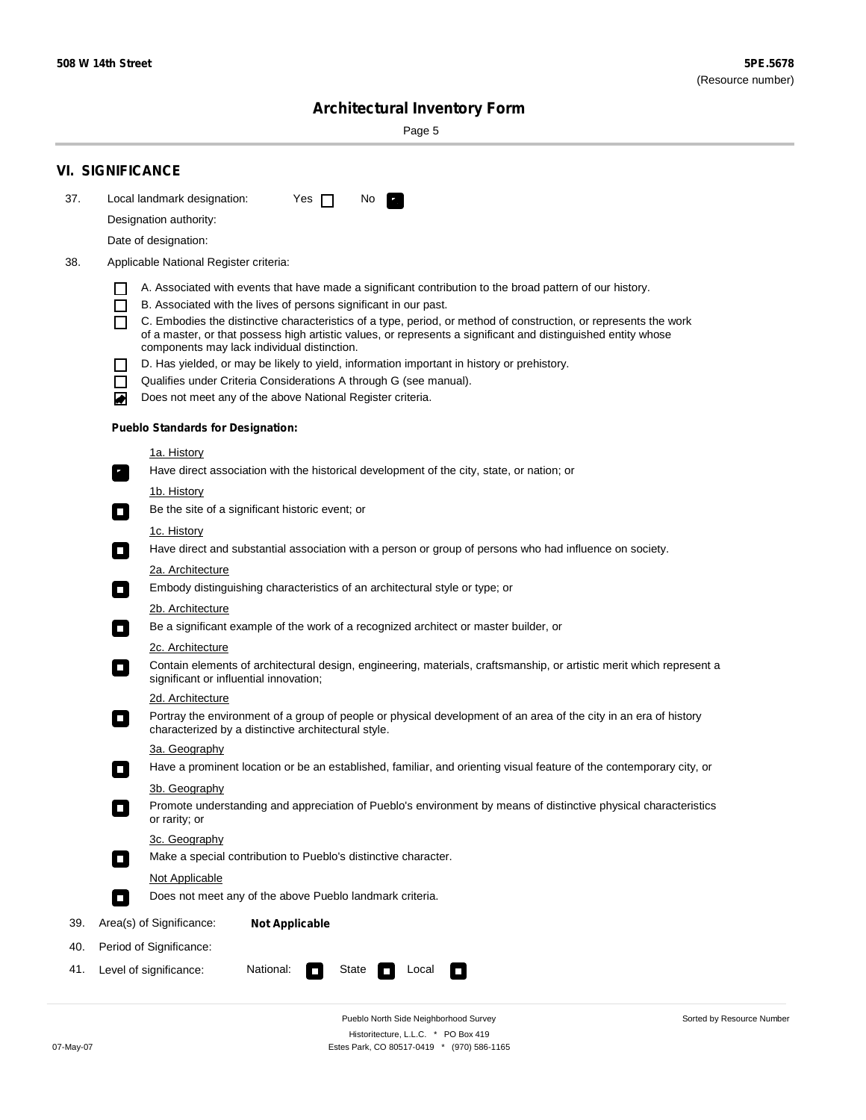Sorted by Resource Number

# **Architectural Inventory Form**

Page 5

|     | <b>VI. SIGNIFICANCE</b>                                                                                                                                                                                                                                                                                                                                                                                                                                                                                                                                                                                                                                                                                                                                                                                                                                                                                                                                                                                                                                                                                                                                                                                                                                                                                                                                                                                                                                                                                                                                                                                                                                                                                                                                                                                                                                                                                                                                                                                                                                                                                                                                                                                                                            |
|-----|----------------------------------------------------------------------------------------------------------------------------------------------------------------------------------------------------------------------------------------------------------------------------------------------------------------------------------------------------------------------------------------------------------------------------------------------------------------------------------------------------------------------------------------------------------------------------------------------------------------------------------------------------------------------------------------------------------------------------------------------------------------------------------------------------------------------------------------------------------------------------------------------------------------------------------------------------------------------------------------------------------------------------------------------------------------------------------------------------------------------------------------------------------------------------------------------------------------------------------------------------------------------------------------------------------------------------------------------------------------------------------------------------------------------------------------------------------------------------------------------------------------------------------------------------------------------------------------------------------------------------------------------------------------------------------------------------------------------------------------------------------------------------------------------------------------------------------------------------------------------------------------------------------------------------------------------------------------------------------------------------------------------------------------------------------------------------------------------------------------------------------------------------------------------------------------------------------------------------------------------------|
| 37. | Local landmark designation:<br>Yes $\Box$<br>No.<br>$\mathbf{F}_{\mathbf{r}}$                                                                                                                                                                                                                                                                                                                                                                                                                                                                                                                                                                                                                                                                                                                                                                                                                                                                                                                                                                                                                                                                                                                                                                                                                                                                                                                                                                                                                                                                                                                                                                                                                                                                                                                                                                                                                                                                                                                                                                                                                                                                                                                                                                      |
|     | Designation authority:                                                                                                                                                                                                                                                                                                                                                                                                                                                                                                                                                                                                                                                                                                                                                                                                                                                                                                                                                                                                                                                                                                                                                                                                                                                                                                                                                                                                                                                                                                                                                                                                                                                                                                                                                                                                                                                                                                                                                                                                                                                                                                                                                                                                                             |
|     | Date of designation:                                                                                                                                                                                                                                                                                                                                                                                                                                                                                                                                                                                                                                                                                                                                                                                                                                                                                                                                                                                                                                                                                                                                                                                                                                                                                                                                                                                                                                                                                                                                                                                                                                                                                                                                                                                                                                                                                                                                                                                                                                                                                                                                                                                                                               |
| 38. | Applicable National Register criteria:                                                                                                                                                                                                                                                                                                                                                                                                                                                                                                                                                                                                                                                                                                                                                                                                                                                                                                                                                                                                                                                                                                                                                                                                                                                                                                                                                                                                                                                                                                                                                                                                                                                                                                                                                                                                                                                                                                                                                                                                                                                                                                                                                                                                             |
|     | A. Associated with events that have made a significant contribution to the broad pattern of our history.<br>B. Associated with the lives of persons significant in our past.<br>$\blacksquare$<br>C. Embodies the distinctive characteristics of a type, period, or method of construction, or represents the work<br>П<br>of a master, or that possess high artistic values, or represents a significant and distinguished entity whose<br>components may lack individual distinction.<br>D. Has yielded, or may be likely to yield, information important in history or prehistory.<br>Qualifies under Criteria Considerations A through G (see manual).<br>$\sim$<br>Does not meet any of the above National Register criteria.<br>₩<br><b>Pueblo Standards for Designation:</b><br>1a. History<br>$\overline{\mathbf{r}}_1$<br>Have direct association with the historical development of the city, state, or nation; or<br><u>1b. History</u><br>Be the site of a significant historic event; or<br>$\mathcal{L}_{\mathcal{A}}$<br>1c. History<br>Have direct and substantial association with a person or group of persons who had influence on society.<br>$\overline{\phantom{a}}$<br>2a. Architecture<br>Embody distinguishing characteristics of an architectural style or type; or<br>$\Box$<br>2b. Architecture<br>Be a significant example of the work of a recognized architect or master builder, or<br>$\Box$<br>2c. Architecture<br>Contain elements of architectural design, engineering, materials, craftsmanship, or artistic merit which represent a<br>$\Box$<br>significant or influential innovation;<br>2d. Architecture<br>Portray the environment of a group of people or physical development of an area of the city in an era of history<br>$\Box$<br>characterized by a distinctive architectural style.<br>3a. Geography<br>Have a prominent location or be an established, familiar, and orienting visual feature of the contemporary city, or<br>3b. Geography<br>Promote understanding and appreciation of Pueblo's environment by means of distinctive physical characteristics<br>or rarity; or<br>3c. Geography<br>Make a special contribution to Pueblo's distinctive character.<br>$\overline{\phantom{a}}$ |
|     | <b>Not Applicable</b>                                                                                                                                                                                                                                                                                                                                                                                                                                                                                                                                                                                                                                                                                                                                                                                                                                                                                                                                                                                                                                                                                                                                                                                                                                                                                                                                                                                                                                                                                                                                                                                                                                                                                                                                                                                                                                                                                                                                                                                                                                                                                                                                                                                                                              |
|     | Does not meet any of the above Pueblo landmark criteria.<br>$\overline{\phantom{a}}$                                                                                                                                                                                                                                                                                                                                                                                                                                                                                                                                                                                                                                                                                                                                                                                                                                                                                                                                                                                                                                                                                                                                                                                                                                                                                                                                                                                                                                                                                                                                                                                                                                                                                                                                                                                                                                                                                                                                                                                                                                                                                                                                                               |
| 39. | Area(s) of Significance:<br><b>Not Applicable</b>                                                                                                                                                                                                                                                                                                                                                                                                                                                                                                                                                                                                                                                                                                                                                                                                                                                                                                                                                                                                                                                                                                                                                                                                                                                                                                                                                                                                                                                                                                                                                                                                                                                                                                                                                                                                                                                                                                                                                                                                                                                                                                                                                                                                  |
| 40. | Period of Significance:                                                                                                                                                                                                                                                                                                                                                                                                                                                                                                                                                                                                                                                                                                                                                                                                                                                                                                                                                                                                                                                                                                                                                                                                                                                                                                                                                                                                                                                                                                                                                                                                                                                                                                                                                                                                                                                                                                                                                                                                                                                                                                                                                                                                                            |
| 41. | National:<br>State<br>Level of significance:<br>Local<br><b>The State</b>                                                                                                                                                                                                                                                                                                                                                                                                                                                                                                                                                                                                                                                                                                                                                                                                                                                                                                                                                                                                                                                                                                                                                                                                                                                                                                                                                                                                                                                                                                                                                                                                                                                                                                                                                                                                                                                                                                                                                                                                                                                                                                                                                                          |
|     |                                                                                                                                                                                                                                                                                                                                                                                                                                                                                                                                                                                                                                                                                                                                                                                                                                                                                                                                                                                                                                                                                                                                                                                                                                                                                                                                                                                                                                                                                                                                                                                                                                                                                                                                                                                                                                                                                                                                                                                                                                                                                                                                                                                                                                                    |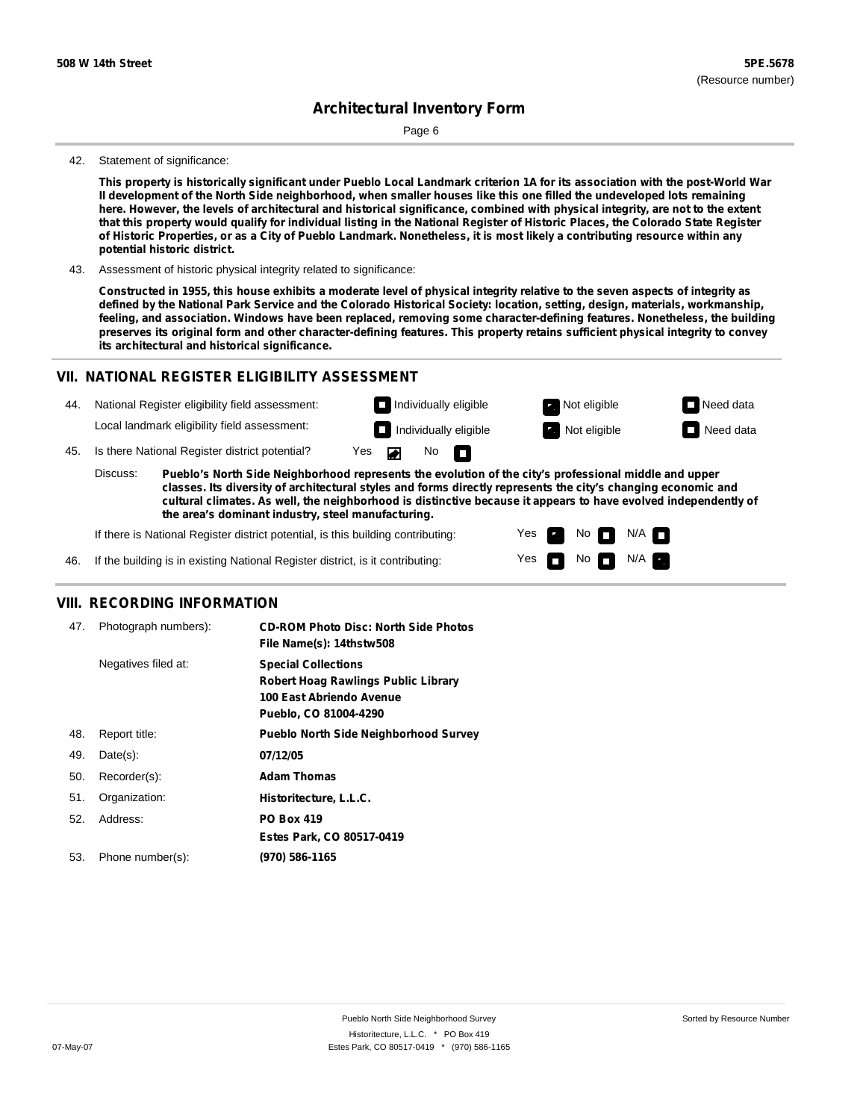Page 6

#### 42. Statement of significance:

This property is historically significant under Pueblo Local Landmark criterion 1A for its association with the post-World War Il development of the North Side neighborhood, when smaller houses like this one filled the undeveloped lots remaining here. However, the levels of architectural and historical significance, combined with physical integrity, are not to the extent that this property would qualify for individual listing in the National Register of Historic Places, the Colorado State Register of Historic Properties, or as a City of Pueblo Landmark. Nonetheless, it is most likely a contributing resource within any **potential historic district.**

43. Assessment of historic physical integrity related to significance:

Constructed in 1955, this house exhibits a moderate level of physical integrity relative to the seven aspects of integrity as defined by the National Park Service and the Colorado Historical Society: location, setting, design, materials, workmanship, **feeling, and association. Windows have been replaced, removing some character-defining features. Nonetheless, the building** preserves its original form and other character-defining features. This property retains sufficient physical integrity to convey **its architectural and historical significance.**

#### **VII. NATIONAL REGISTER ELIGIBILITY ASSESSMENT**



**classes. Its diversity of architectural styles and forms directly represents the city's changing economic and cultural climates. As well, the neighborhood is distinctive because it appears to have evolved independently of the area's dominant industry, steel manufacturing.**

> Yes Yes

No **DI**N/A No  $\blacksquare$  N/A  $\blacksquare$ 

If there is National Register district potential, is this building contributing:

If the building is in existing National Register district, is it contributing: 46.

#### **VIII. RECORDING INFORMATION**

| 47. | Photograph numbers): | <b>CD-ROM Photo Disc: North Side Photos</b><br>File Name(s): 14thstw508                                                       |
|-----|----------------------|-------------------------------------------------------------------------------------------------------------------------------|
|     | Negatives filed at:  | <b>Special Collections</b><br><b>Robert Hoag Rawlings Public Library</b><br>100 East Abriendo Avenue<br>Pueblo, CO 81004-4290 |
| 48. | Report title:        | <b>Pueblo North Side Neighborhood Survey</b>                                                                                  |
| 49. | $Date(s)$ :          | 07/12/05                                                                                                                      |
| 50. | Recorder(s):         | <b>Adam Thomas</b>                                                                                                            |
| 51. | Organization:        | Historitecture, L.L.C.                                                                                                        |
| 52. | Address:             | <b>PO Box 419</b>                                                                                                             |
|     |                      | Estes Park, CO 80517-0419                                                                                                     |
| 53. | Phone number(s):     | (970) 586-1165                                                                                                                |
|     |                      |                                                                                                                               |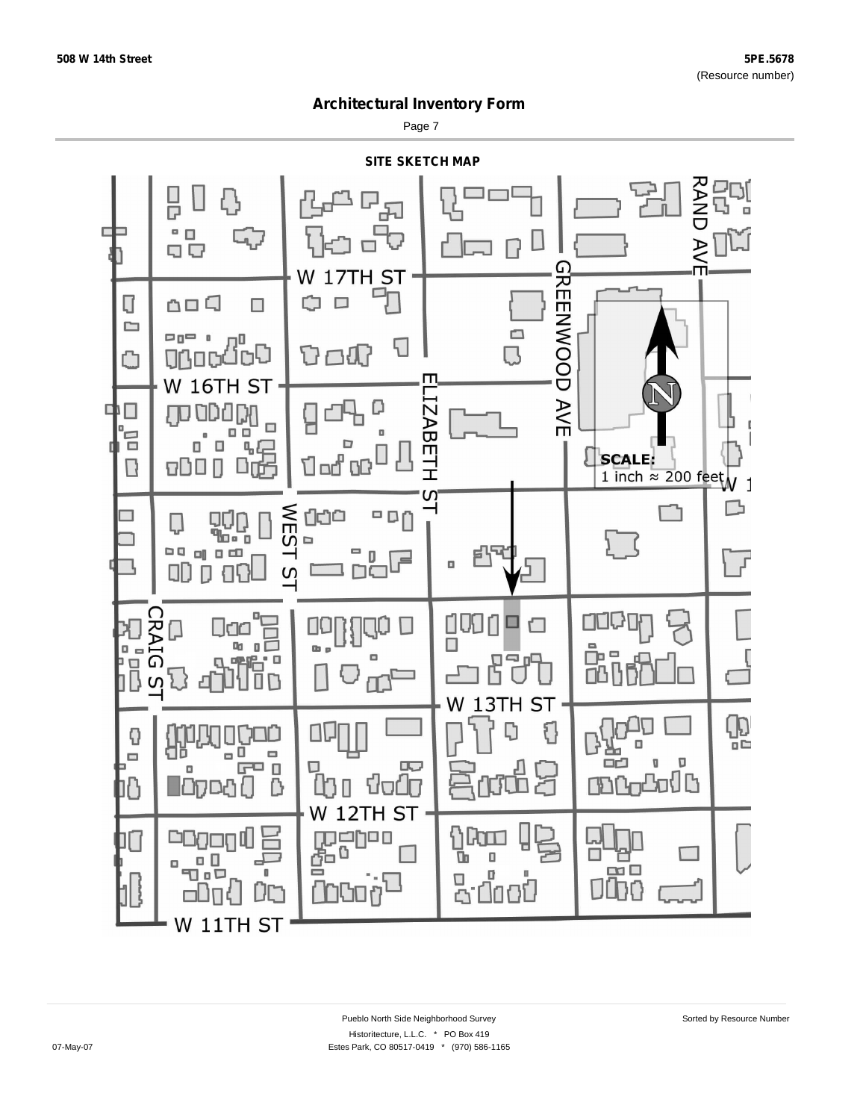Page 7